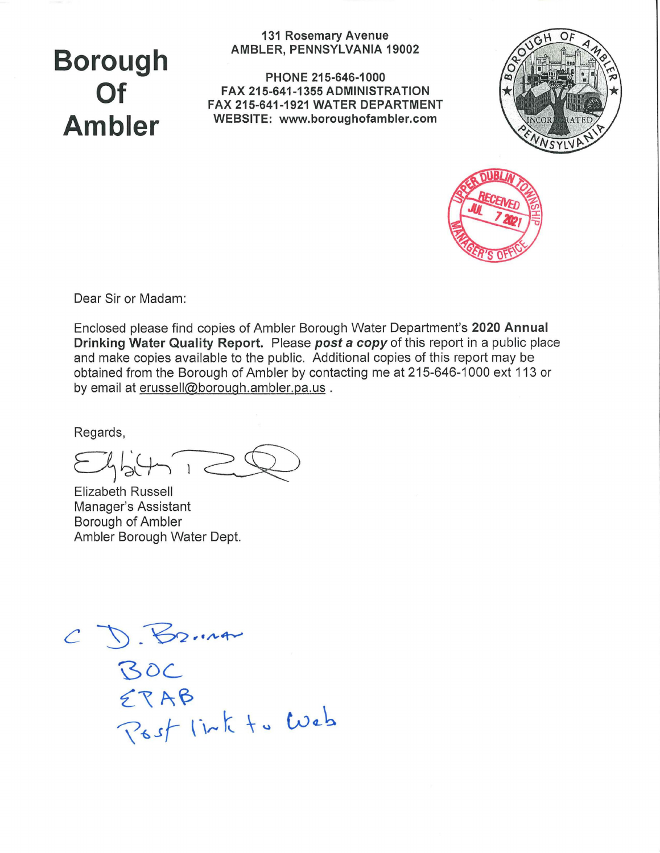# **Borough Of Ambler**

**131 Rosemary Avenue AMBLER, PENNSYLVANIA 19002** 

**PHONE 215-646-1000 FAX 215-641-1355 ADMINISTRATION FAX 215-641-1921 WATER DEPARTMENT WEBSITE: www.boroughofambler.com**





Dear Sir or Madam:

Enclosed please find copies of Ambler Borough Water Department's **2020 Annual Drinking Water Quality Report.** Please *post a copy* of this report in a public place and make copies available to the public, Additional copies of this report may be obtained from the Borough of Ambler by contacting me at 215-646-1000 ext 113 or by email at erussell@borough.ambler.pa.us .

Regards,

 $E45412$ 

Elizabeth Russell Manager's Assistant Borough of Ambler Ambler Borough Water Dept.

C D. B2.14<br>BOC<br>ERAB<br>Post link to Web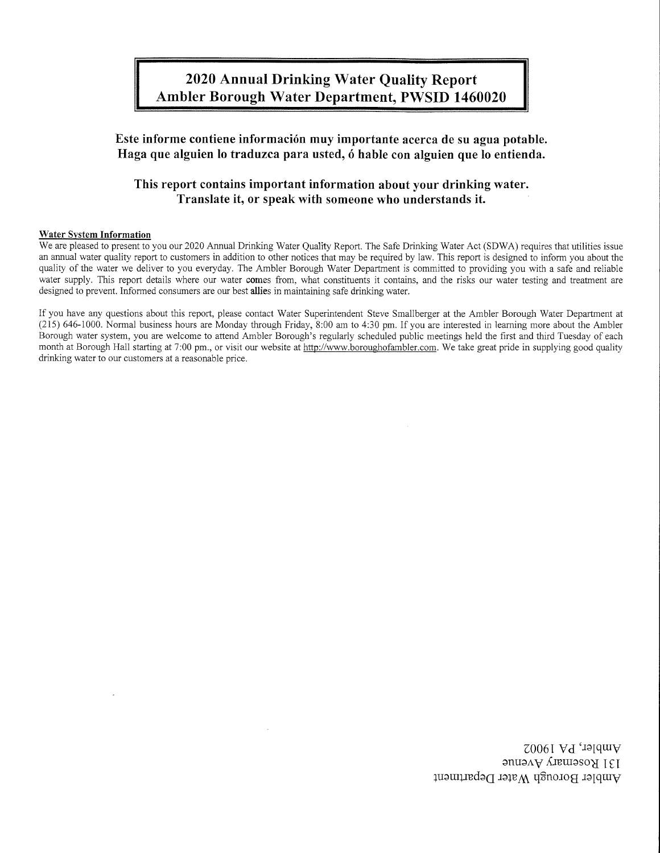## 2020 Annual Drinking Water Quality Report Ambler Borough Water Department, PWSID 1460020

## Este informe contiene informacion muy importante acerca de su agua potable. Haga que alguien lo traduzca para usted, ó hable con alguien que lo entienda.

## This report contains important information about your drinking water. Translate it, or speak with someone who understands it.

#### Water System Information

We are pleased to present to you our 2020 Annual Drinking Water Quality Report. The Safe Drinking Water Act (SDWA) requires that utilities issue an annual water quality report to customers in addition to other notices that may be required by law. This report is designed to inform you about the quality of the water we deliver to you everyday. The Ambler Borough Water Department is committed to providing you with a safe and reliable water supply. This report details where our water comes from, what constituents it contains, and the risks our water testing and treatment are designed to prevent. Informed consumers are our best allies in maintaining safe drinking water.

If you have any questions about this report, please contact Water Superintendent Steve Smallberger at the Ambler Borough Water Department at (215) 646-1000. Normal business hours are Monday through Friday, 8:00 am to 4:30 pm. If you are interested in learning more about the Ambler Borough water system, you are welcome to attend Ambler Borough's regularly scheduled public meetings held the first and third Tuesday of each month at Borough Hall starting at 7:00 pm., or visit our website at http://www.boroughofambler.com. We take great pride in supplying good quality drinking water to our customers at a reasonable price.

> Ambler, PA 19002 131 Rosemary Avenue Ambler Borough Water Department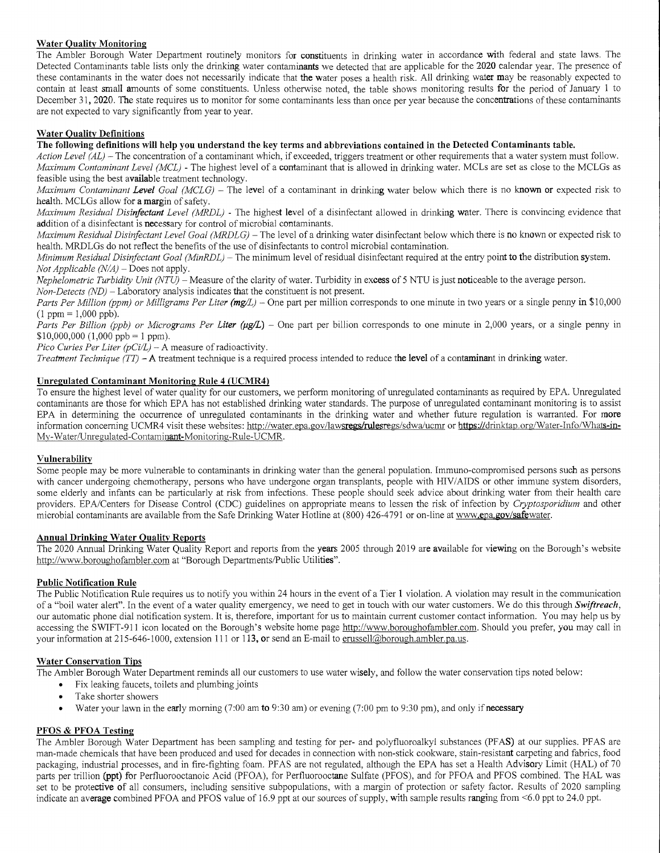#### **Water Quality Monitoring**

The Ambler Borough Water Department routinely monitors for constituents in drinking water in accordance with federal and state laws. The Detected Contaminants table lists only the drinking water contaminants we detected that are applicable for the **2020** calendar year. The presence of these contaminants in the water does not necessarily indicate that **the** water poses a health risk. All drinking water may be reasonably expected to contain at least small amounts of some constituents. Unless otherwise noted, the table shows monitoring results for the period of January I to December 31, **2020. The** state requires us to monitor for some contaminants less than once per year because the concentrations of these contaminants are not expected to vary significantly from year to year.

#### **Water Quality Definitions**

**The following definitions will help you understand the key terms and abbreviations contained in the Detected Contaminants table.** 

*Action Level (AL) —* The concentration of a contaminant which, if exceeded, triggers treatment or other requirements that a water system must follow. *Maximum Contaminant Level (MCL)* - The highest level of a contaminant that is allowed in drinking water. MCLs are set as close to the MCLGs as feasible using the best **available** treatment technology.

*Maximum Contaminant Level Goal (MCLG)* – The level of a contaminant in drinking water below which there is no known or expected risk to health. MCLGs allow for **a margin** of safety.

*Maximum Residual Disinfectant Level (MRDL) -* The highest level of a disinfectant allowed in drinking water. There is convincing evidence that addition of a disinfectant is necessary for control of microbial contaminants.

*Maximum Residual Disinfectant Level Goal (MRDLG)* – The level of a drinking water disinfectant below which there is no known or expected risk to health. MRDLGs do not reflect the benefits of the use of disinfectants to control microbial contamination.

*Minimum Residual Disinfectant Goal (MinRDL) —* The minimum level of residual disinfectant required at the entry point **to the** distribution system. *Not Applicable (N/A) —Does* not apply.

*Nephelometric Turbidity Unit (NTU) —* Measure of the clarity of water. Turbidity in **excess of** 5 NTU is just noticeable to the average person.

*Non-Detects (ND) —* Laboratory analysis indicates that the constituent is not present.

*Parts Per Million (ppm) or Milligrams Per Liter (mg/L)* – One part per million corresponds to one minute in two years or a single penny in \$10,000  $(1 \text{ ppm} = 1.000 \text{ pb})$ .

*Parts Per Billion (ppb) or Micrograms Per Liter (µg/L)* – One part per billion corresponds to one minute in 2,000 years, or a single penny in  $$10,000,000$  (1,000 ppb = 1 ppm).

*Pico Curies Per Liter (pCi/L) —* A measure of radioactivity.

*Treatment Technique (TT)* **—A** treatment technique is a required process intended to reduce **the level of a contaminant in** drinking water.

#### **Unregulated Contaminant Monitoring Rule 4 (UCMR4)**

To ensure the highest level of water quality for our customers, we perform monitoring of unregulated contaminants as required by EPA. Unregulated contaminants are those for which EPA has not established drinking water standards. The purpose of unregulated contaminant monitoring is to assist EPA in determining the occurrence of unregulated contaminants in the drinking water and whether future regulation is warranted. For **more**  information concerning UCMR4 visit these websites: http://water.epa.gov/lawsregs/rulesregs/sdwa/ucmr or https://drinktap.org/Water-Info/Whats-in-Mv-Water/Unregulated-Contaminant-Monitoring-Rule-UCMR.

#### **Vulnerability**

Some people may be more vulnerable to contaminants in drinking water than the general population. Immuno-compromised persons such as persons with cancer undergoing chemotherapy, persons who have undergone organ transplants, people with HIV/AIDS or other immune system disorders, some elderly and infants can be particularly at risk from infections. These people should seek advice about drinking water from their health care providers. EPA/Centers for Disease Control (CDC) guidelines on appropriate means to lessen the risk of infection by *Oyptosporidium* and other microbial contaminants are available from the Safe Drinking Water Hotline at (800) 426-4791 or on-line at www.epa.gov/safewater.

#### **Annual Drinking Water Quality Reports**

The 2020 Annual Drinking Water Quality Report and reports from the **years** 2005 through 2019 are available for **viewing** on the Borough's website http://www.boroughofambler.com at "Borough Departments/Public Utilities".

#### **Public Notification Rule**

The Public Notification Rule requires us to notify you within 24 hours in the event of a Tier 1 violation. A violation may result in the communication of a "boil water alert". In the event of a water quality emergency, we need to get in touch with our water customers. We do this through *Swiftreach,*  our automatic phone dial notification system. It is, therefore, important for us to maintain current customer contact information. You may help us by accessing the SWIFT-911 icon located on the Borough's website home page http://www.boroughofambler.com. Should you prefer, you may call in your information at 215-646-1000, extension 111 or 113, or send an E-mail to erussell@borough.ambler.pa.us.

#### **Water Conservation Tips**

The Ambler Borough Water Department reminds all our customers to use water wisely, and follow the water conservation tips noted below:

- Fix leaking faucets, toilets and plumbing joints
- Take shorter showers
- Water your lawn in the early morning (7:00 am **to** 9:30 am) or evening (7:00 pm to 9:30 pm), and only if **necessary**

#### **PFOS & PFOA Testing**

The Ambler Borough Water Department has been sampling and testing for per- and polyfluoroalkyl substances (PFAS) at our supplies. PFAS are man-made chemicals that have been produced and used for decades in connection with non-stick cookware, stain-resistant carpeting and fabrics, food packaging, industrial processes, and in fire-fighting foam. PFAS are not regulated, although the EPA has set a Health Advisory Limit (HAL) of 70 parts per trillion **(ppt)** for Perfluorooctanoic Acid (PFOA), for Perfluorooctane Sulfate (PFOS), and for PFOA and PFOS combined. The HAL was set to be protective of all consumers, including sensitive subpopulations, with a margin of protection or safety factor. Results of 2020 sampling indicate an **average** combined PFOA and PFOS value of 16.9 ppt at our sources of supply, with sample results ranging from <6.0 ppt to 24.0 ppt.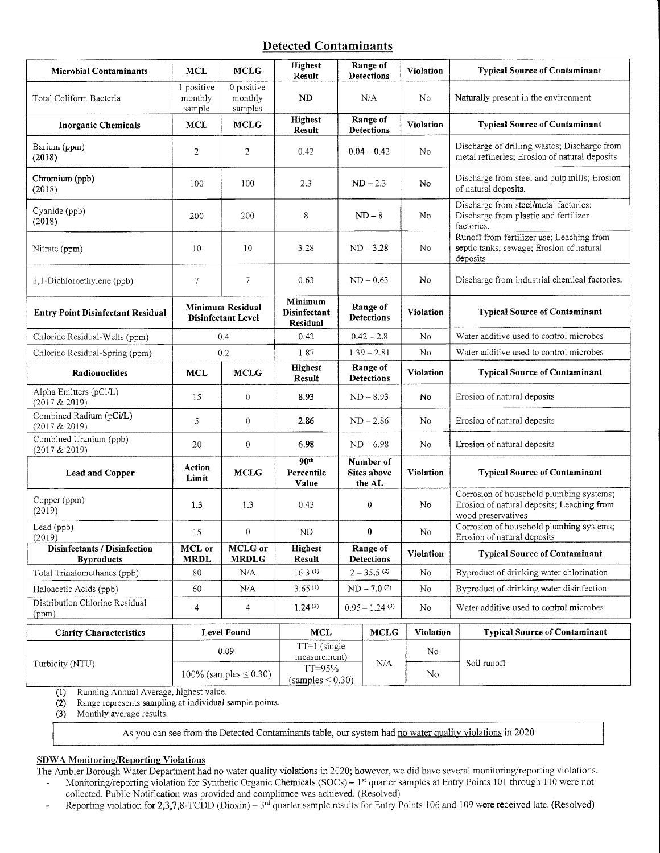### Detected Contaminants

| <b>Microbial Contaminants</b>                            | <b>MCL</b>                                    | <b>MCLG</b>                      | <b>Highest</b><br>Result                | Range of<br><b>Detections</b>      |                        | <b>Violation</b> | <b>Typical Source of Contaminant</b>                                                                         |
|----------------------------------------------------------|-----------------------------------------------|----------------------------------|-----------------------------------------|------------------------------------|------------------------|------------------|--------------------------------------------------------------------------------------------------------------|
| Total Coliform Bacteria                                  | 1 positive<br>monthly<br>sample               | 0 positive<br>monthly<br>samples | ND                                      | N/A                                |                        | No               | Naturally present in the environment                                                                         |
| <b>Inorganic Chemicals</b>                               | <b>MCL</b>                                    | <b>MCLG</b>                      | Highest<br>Result                       | Range of<br><b>Detections</b>      |                        | Violation        | <b>Typical Source of Contaminant</b>                                                                         |
| Barium (ppm)<br>(2018)                                   | $\overline{c}$                                | $\overline{2}$                   | 0.42                                    | $0.04 - 0.42$                      |                        | No               | Discharge of drilling wastes; Discharge from<br>metal refineries; Erosion of natural deposits                |
| Chromium (ppb)<br>(2018)                                 | 100                                           | 100                              | 2.3                                     | $ND-2.3$                           |                        | No               | Discharge from steel and pulp mills; Erosion<br>of natural deposits.                                         |
| Cyanide (ppb)<br>(2018)                                  | 200                                           | 200                              | 8                                       | $ND-8$                             |                        | No               | Discharge from steel/metal factories;<br>Discharge from plastic and fertilizer<br>factories.                 |
| Nitrate (ppm)                                            | 10                                            | 10                               | 3.28                                    | $ND - 3.28$                        |                        | No               | Runoff from fertilizer use; Leaching from<br>septic tanks, sewage; Erosion of natural<br>deposits            |
| 1,1-Dichloroethylene (ppb)                               | 7                                             | 7                                | 0.63                                    | $ND - 0.63$                        |                        | No               | Discharge from industrial chemical factories.                                                                |
| <b>Entry Point Disinfectant Residual</b>                 | Minimum Residual<br><b>Disinfectant Level</b> |                                  | Minimum<br>Disinfectant<br>Residual     | Range of<br><b>Detections</b>      |                        | Violation        | <b>Typical Source of Contaminant</b>                                                                         |
| Chlorine Residual-Wells (ppm)                            | 0.4                                           |                                  | 0.42                                    |                                    | $0.42 - 2.8$           | No               | Water additive used to control microbes                                                                      |
| Chlorine Residual-Spring (ppm)                           | 0.2                                           |                                  | 1.87                                    | $1.39 - 2.81$                      |                        | No               | Water additive used to control microbes                                                                      |
| Radionuclides                                            | <b>MCL</b>                                    | <b>MCLG</b>                      | <b>Highest</b><br>Result                | Range of<br><b>Detections</b>      |                        | <b>Violation</b> | <b>Typical Source of Contaminant</b>                                                                         |
| Alpha Emitters (pCi/L)<br>(2017 & 2019)                  | 15                                            | $\boldsymbol{0}$                 | 8.93                                    | $ND - 8.93$                        |                        | No               | Erosion of natural deposits                                                                                  |
| Combined Radium (pCi/L)<br>(2017 & 2019)                 | 5                                             | $\theta$                         | 2.86                                    | $ND - 2.86$                        |                        | No               | Erosion of natural deposits                                                                                  |
| Combined Uranium (ppb)<br>(2017 & 2019)                  | 20                                            | $\boldsymbol{0}$                 | 6.98                                    | $ND - 6.98$                        |                        | No               | Erosion of natural deposits                                                                                  |
| <b>Lead and Copper</b>                                   | Action<br>Limit                               | <b>MCLG</b>                      | 90 <sup>th</sup><br>Percentile<br>Value | Number of<br>Sites above<br>the AL |                        | <b>Violation</b> | <b>Typical Source of Contaminant</b>                                                                         |
| Copper (ppm)<br>(2019)                                   | 1.3                                           | 1.3                              | 0.43                                    | $\boldsymbol{0}$                   |                        | No               | Corrosion of household plumbing systems;<br>Erosion of natural deposits; Leaching from<br>wood preservatives |
| Lead (ppb)<br>(2019)                                     | 15                                            | $\theta$                         | N <sub>D</sub>                          | $\boldsymbol{0}$                   |                        | No               | Corrosion of household plumbing systems;<br>Erosion of natural deposits                                      |
| <b>Disinfectants / Disinfection</b><br><b>Byproducts</b> | MCL or<br><b>MRDL</b>                         | MCLG or<br><b>MRDLG</b>          | Highest<br>Result                       |                                    | Range of<br>Detections | Violation        | <b>Typical Source of Contaminant</b>                                                                         |
| Total Trihalomethanes (ppb)                              | 80                                            | N/A                              | 16.3(0)                                 | $2 - 35.5$ <sup>(2)</sup>          |                        | No               | Byproduct of drinking water chlorination                                                                     |
| Haloacetic Acids (ppb)                                   | 60                                            | N/A                              | 3.65(1)                                 | $ND - 7.0^{(2)}$                   |                        | No               | Byproduct of drinking water disinfection                                                                     |
| Distribution Chlorine Residual<br>(ppm)                  | 4                                             | 4                                | 1.24(3)                                 | $0.95 - 1.24$ <sup>(3)</sup>       |                        | No               | Water additive used to control microbes                                                                      |
| <b>Clarity Characteristics</b>                           |                                               | <b>Level Found</b>               | <b>MCL</b>                              | <b>MCLG</b>                        |                        | Violation        | <b>Typical Source of Contaminant</b>                                                                         |
| Turbidity (NTU)                                          | 0.09                                          |                                  | $TT=1$ (single<br>measurement)          |                                    |                        | <b>No</b>        | Soil runoff                                                                                                  |
|                                                          | 100% (samples $\leq$ 0.30)                    |                                  | TT=95%<br>$(samples \leq 0.30)$         |                                    | N/A                    | No               |                                                                                                              |

(1) Running Annual Average, highest value.

(2) Range represents sampling at individual sample points.

(3) Monthly average results.

As you can see from the Detected Contaminants table, our system had no water quality violations in 2020

#### SDWA Monitoring/Reporting Violations

The Ambler Borough Water Department had no water quality violations in 2020; however, we did have several monitoring/reporting violations.

- Monitoring/reporting violation for Synthetic Organic Chemicals (SOCs) 1<sup>st</sup> quarter samples at Entry Points 101 through 110 were not collected. Public Notification was provided and compliance was achieved. (Resolved)
- Reporting violation for 2,3,7,8-TCDD (Dioxin) 3<sup>rd</sup> quarter sample results for Entry Points 106 and 109 were received late. (Resolved) l,